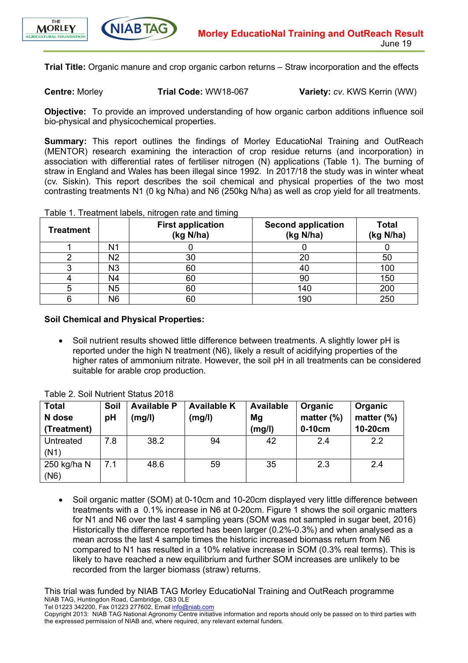



**Trial Title:** Organic manure and crop organic carbon returns – Straw incorporation and the effects

**Centre:** Morley **Trial Code:** WW18-067 **Variety:** *cv*. KWS Kerrin (WW)

**Objective:** To provide an improved understanding of how organic carbon additions influence soil bio-physical and physicochemical properties.

**Summary:** This report outlines the findings of Morley EducatioNal Training and OutReach (MENTOR) research examining the interaction of crop residue returns (and incorporation) in association with differential rates of fertiliser nitrogen (N) applications (Table 1). The burning of straw in England and Wales has been illegal since 1992. In 2017/18 the study was in winter wheat (cv. Siskin). This report describes the soil chemical and physical properties of the two most contrasting treatments N1 (0 kg N/ha) and N6 (250kg N/ha) as well as crop yield for all treatments.

| <b>Treatment</b> |    | <b>First application</b><br>(kg N/ha) | <b>Second application</b><br>(kg N/ha) | <b>Total</b><br>(kg N/ha) |
|------------------|----|---------------------------------------|----------------------------------------|---------------------------|
|                  | N1 |                                       |                                        |                           |
|                  | N2 | 30                                    | 20                                     | 50                        |
|                  | N3 | 60                                    | 40                                     | 100                       |
|                  | N4 | 60                                    | 90                                     | 150                       |
|                  | N5 | 60                                    | 140                                    | 200                       |
|                  | N6 | 60                                    | 190                                    | 250                       |

Table 1. Treatment labels, nitrogen rate and timing

**Soil Chemical and Physical Properties:**

• Soil nutrient results showed little difference between treatments. A slightly lower pH is reported under the high N treatment (N6), likely a result of acidifying properties of the higher rates of ammonium nitrate. However, the soil pH in all treatments can be considered suitable for arable crop production.

| <b>Total</b> | Soil | <b>Available P</b> | <b>Available K</b> | <b>Available</b> | Organic       | Organic          |
|--------------|------|--------------------|--------------------|------------------|---------------|------------------|
| N dose       | pH   | (mg/l)             | (mg/l)             | Mg               | matter $(\%)$ | matter $(\%)$    |
| (Treatment)  |      |                    |                    | (mg/l)           | $0-10cm$      | 10-20cm          |
| Untreated    | 7.8  | 38.2               | 94                 | 42               | 2.4           | $2.2\phantom{0}$ |
| (N1)         |      |                    |                    |                  |               |                  |
| 250 kg/ha N  | 7.1  | 48.6               | 59                 | 35               | 2.3           | 2.4              |
| (N6)         |      |                    |                    |                  |               |                  |

Table 2. Soil Nutrient Status 2018

• Soil organic matter (SOM) at 0-10cm and 10-20cm displayed very little difference between treatments with a 0.1% increase in N6 at 0-20cm. Figure 1 shows the soil organic matters for N1 and N6 over the last 4 sampling years (SOM was not sampled in sugar beet, 2016) Historically the difference reported has been larger (0.2%-0.3%) and when analysed as a mean across the last 4 sample times the historic increased biomass return from N6 compared to N1 has resulted in a 10% relative increase in SOM (0.3% real terms). This is likely to have reached a new equilibrium and further SOM increases are unlikely to be recorded from the larger biomass (straw) returns.

This trial was funded by NIAB TAG Morley EducatioNal Training and OutReach programme NIAB TAG, Huntingdon Road, Cambridge, CB3 0LE

Tel 01223 342200, Fax 01223 277602, Email info@niab.com

Copyright 2013: NIAB TAG National Agronomy Centre initiative information and reports should only be passed on to third parties with the expressed permission of NIAB and, where required, any relevant external funders.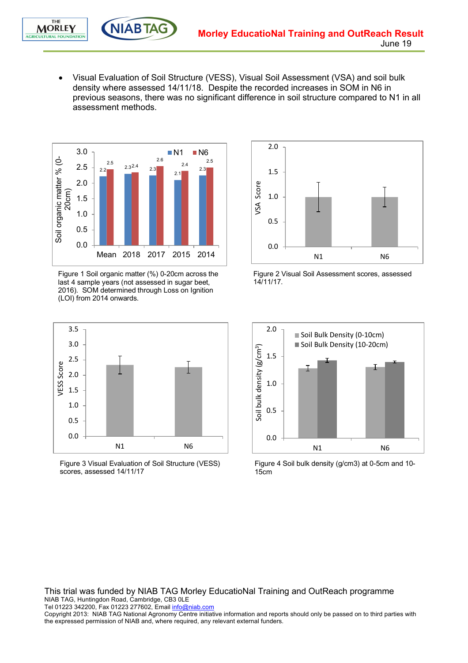• Visual Evaluation of Soil Structure (VESS), Visual Soil Assessment (VSA) and soil bulk density where assessed 14/11/18. Despite the recorded increases in SOM in N6 in previous seasons, there was no significant difference in soil structure compared to N1 in all assessment methods.



Figure 1 Soil organic matter (%) 0-20cm across the last 4 sample years (not assessed in sugar beet, 2016). SOM determined through Loss on Ignition (LOI) from 2014 onwards.



Figure 3 Visual Evaluation of Soil Structure (VESS) scores, assessed 14/11/17



Figure 2 Visual Soil Assessment scores, assessed 14/11/17.



Figure 4 Soil bulk density (g/cm3) at 0-5cm and 10- 15cm

This trial was funded by NIAB TAG Morley EducatioNal Training and OutReach programme NIAB TAG, Huntingdon Road, Cambridge, CB3 0LE

Tel 01223 342200, Fax 01223 277602, Email info@niab.com

Copyright 2013: NIAB TAG National Agronomy Centre initiative information and reports should only be passed on to third parties with the expressed permission of NIAB and, where required, any relevant external funders.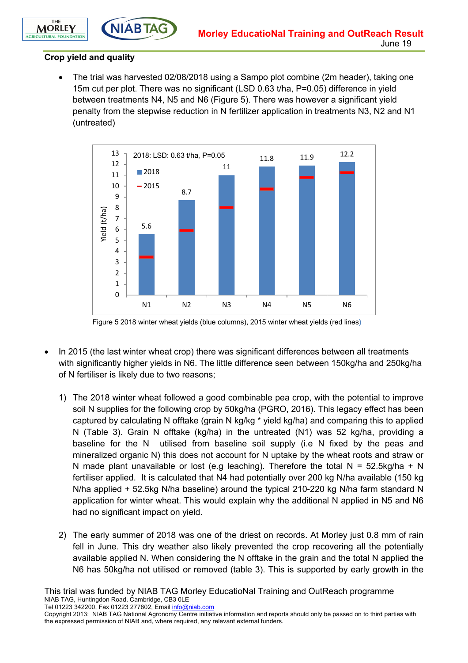

## **Crop yield and quality**

THE

**MORLEY ITURAL FOUNDATION** 

> • The trial was harvested 02/08/2018 using a Sampo plot combine (2m header), taking one 15m cut per plot. There was no significant (LSD 0.63 t/ha, P=0.05) difference in yield between treatments N4, N5 and N6 (Figure 5). There was however a significant yield penalty from the stepwise reduction in N fertilizer application in treatments N3, N2 and N1 (untreated)



Figure 5 2018 winter wheat yields (blue columns), 2015 winter wheat yields (red lines**)**

- In 2015 (the last winter wheat crop) there was significant differences between all treatments with significantly higher yields in N6. The little difference seen between 150kg/ha and 250kg/ha of N fertiliser is likely due to two reasons;
	- 1) The 2018 winter wheat followed a good combinable pea crop, with the potential to improve soil N supplies for the following crop by 50kg/ha (PGRO, 2016). This legacy effect has been captured by calculating N offtake (grain N kg/kg \* yield kg/ha) and comparing this to applied N (Table 3). Grain N offtake (kg/ha) in the untreated (N1) was 52 kg/ha, providing a baseline for the N utilised from baseline soil supply (i.e N fixed by the peas and mineralized organic N) this does not account for N uptake by the wheat roots and straw or N made plant unavailable or lost (e.g leaching). Therefore the total  $N = 52.5$ kg/ha + N fertiliser applied. It is calculated that N4 had potentially over 200 kg N/ha available (150 kg N/ha applied + 52.5kg N/ha baseline) around the typical 210-220 kg N/ha farm standard N application for winter wheat. This would explain why the additional N applied in N5 and N6 had no significant impact on yield.
	- 2) The early summer of 2018 was one of the driest on records. At Morley just 0.8 mm of rain fell in June. This dry weather also likely prevented the crop recovering all the potentially available applied N. When considering the N offtake in the grain and the total N applied the N6 has 50kg/ha not utilised or removed (table 3). This is supported by early growth in the

This trial was funded by NIAB TAG Morley EducatioNal Training and OutReach programme NIAB TAG, Huntingdon Road, Cambridge, CB3 0LE

Tel 01223 342200, Fax 01223 277602, Email info@niab.com

Copyright 2013: NIAB TAG National Agronomy Centre initiative information and reports should only be passed on to third parties with the expressed permission of NIAB and, where required, any relevant external funders.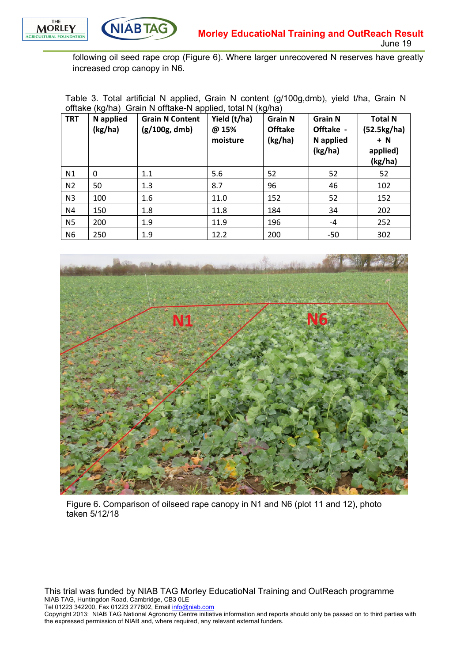



following oil seed rape crop (Figure 6). Where larger unrecovered N reserves have greatly increased crop canopy in N6.

Table 3. Total artificial N applied, Grain N content (g/100g,dmb), yield t/ha, Grain N offtake (kg/ha) Grain N offtake-N applied, total N (kg/ha)

| <b>TRT</b>     | ັ<br>N applied<br>(kg/ha) | <b>Grain N Content</b><br>(g/100g, dmb) | Yield (t/ha)<br>@ 15%<br>moisture | ີ<br><b>Grain N</b><br><b>Offtake</b><br>(kg/ha) | <b>Grain N</b><br>Offtake -<br>N applied<br>(kg/ha) | <b>Total N</b><br>(52.5kg/ha)<br>$+ N$<br>applied)<br>(kg/ha) |
|----------------|---------------------------|-----------------------------------------|-----------------------------------|--------------------------------------------------|-----------------------------------------------------|---------------------------------------------------------------|
| N1             | 0                         | 1.1                                     | 5.6                               | 52                                               | 52                                                  | 52                                                            |
| N <sub>2</sub> | 50                        | 1.3                                     | 8.7                               | 96                                               | 46                                                  | 102                                                           |
| N <sub>3</sub> | 100                       | 1.6                                     | 11.0                              | 152                                              | 52                                                  | 152                                                           |
| N4             | 150                       | 1.8                                     | 11.8                              | 184                                              | 34                                                  | 202                                                           |
| <b>N5</b>      | 200                       | 1.9                                     | 11.9                              | 196                                              | $-4$                                                | 252                                                           |
| N <sub>6</sub> | 250                       | 1.9                                     | 12.2                              | 200                                              | -50                                                 | 302                                                           |



Figure 6. Comparison of oilseed rape canopy in N1 and N6 (plot 11 and 12), photo taken 5/12/18

This trial was funded by NIAB TAG Morley EducatioNal Training and OutReach programme NIAB TAG, Huntingdon Road, Cambridge, CB3 0LE

Tel 01223 342200, Fax 01223 277602, Email info@niab.com

Copyright 2013: NIAB TAG National Agronomy Centre initiative information and reports should only be passed on to third parties with the expressed permission of NIAB and, where required, any relevant external funders.